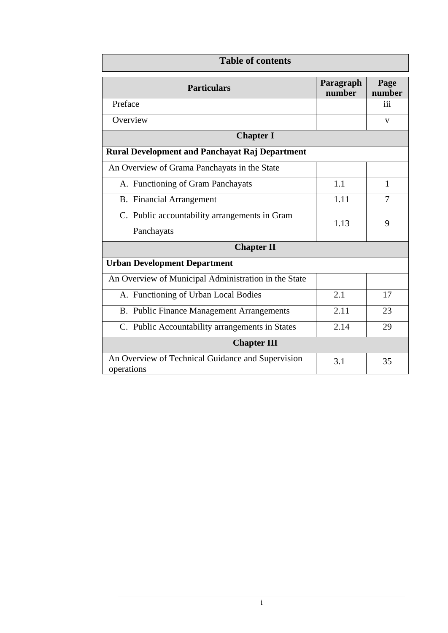| <b>Table of contents</b>                                        |                     |                |  |
|-----------------------------------------------------------------|---------------------|----------------|--|
| <b>Particulars</b>                                              | Paragraph<br>number | Page<br>number |  |
| Preface                                                         |                     | 111            |  |
| Overview                                                        |                     | V              |  |
| <b>Chapter I</b>                                                |                     |                |  |
| <b>Rural Development and Panchayat Raj Department</b>           |                     |                |  |
| An Overview of Grama Panchayats in the State                    |                     |                |  |
| A. Functioning of Gram Panchayats                               | 1.1                 | 1              |  |
| <b>B.</b> Financial Arrangement                                 | 1.11                | $\overline{7}$ |  |
| C. Public accountability arrangements in Gram                   | 1.13                | 9              |  |
| Panchayats                                                      |                     |                |  |
| <b>Chapter II</b>                                               |                     |                |  |
| <b>Urban Development Department</b>                             |                     |                |  |
| An Overview of Municipal Administration in the State            |                     |                |  |
| A. Functioning of Urban Local Bodies                            | 2.1                 | 17             |  |
| B. Public Finance Management Arrangements                       | 2.11                | 23             |  |
| C. Public Accountability arrangements in States                 | 2.14                | 29             |  |
| <b>Chapter III</b>                                              |                     |                |  |
| An Overview of Technical Guidance and Supervision<br>operations | 3.1                 | 35             |  |